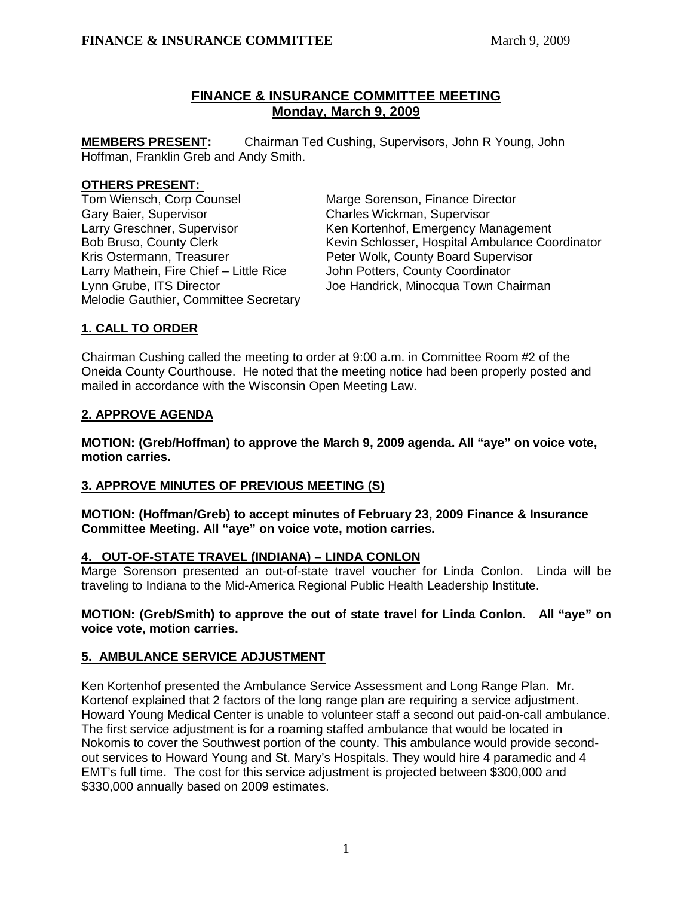# **FINANCE & INSURANCE COMMITTEE MEETING Monday, March 9, 2009**

**MEMBERS PRESENT:** Chairman Ted Cushing, Supervisors, John R Young, John Hoffman, Franklin Greb and Andy Smith.

### **OTHERS PRESENT:**

Tom Wiensch, Corp Counsel Marge Sorenson, Finance Director Gary Baier, Supervisor Charles Wickman, Supervisor Larry Mathein, Fire Chief – Little Rice John Potters, County Coordinator Melodie Gauthier, Committee Secretary

Larry Greschner, Supervisor Ken Kortenhof, Emergency Management Bob Bruso, County Clerk Kevin Schlosser, Hospital Ambulance Coordinator<br>Kris Ostermann, Treasurer Feter Wolk, County Board Supervisor Peter Wolk, County Board Supervisor Lynn Grube, ITS Director **Joe Handrick, Minocqua Town Chairman** 

# **1. CALL TO ORDER**

Chairman Cushing called the meeting to order at 9:00 a.m. in Committee Room #2 of the Oneida County Courthouse. He noted that the meeting notice had been properly posted and mailed in accordance with the Wisconsin Open Meeting Law.

# **2. APPROVE AGENDA**

**MOTION: (Greb/Hoffman) to approve the March 9, 2009 agenda. All "aye" on voice vote, motion carries.** 

# **3. APPROVE MINUTES OF PREVIOUS MEETING (S)**

**MOTION: (Hoffman/Greb) to accept minutes of February 23, 2009 Finance & Insurance Committee Meeting. All "aye" on voice vote, motion carries.** 

# **4. OUT-OF-STATE TRAVEL (INDIANA) – LINDA CONLON**

Marge Sorenson presented an out-of-state travel voucher for Linda Conlon. Linda will be traveling to Indiana to the Mid-America Regional Public Health Leadership Institute.

### **MOTION: (Greb/Smith) to approve the out of state travel for Linda Conlon. All "aye" on voice vote, motion carries.**

# **5. AMBULANCE SERVICE ADJUSTMENT**

Ken Kortenhof presented the Ambulance Service Assessment and Long Range Plan. Mr. Kortenof explained that 2 factors of the long range plan are requiring a service adjustment. Howard Young Medical Center is unable to volunteer staff a second out paid-on-call ambulance. The first service adjustment is for a roaming staffed ambulance that would be located in Nokomis to cover the Southwest portion of the county. This ambulance would provide secondout services to Howard Young and St. Mary's Hospitals. They would hire 4 paramedic and 4 EMT's full time. The cost for this service adjustment is projected between \$300,000 and \$330,000 annually based on 2009 estimates.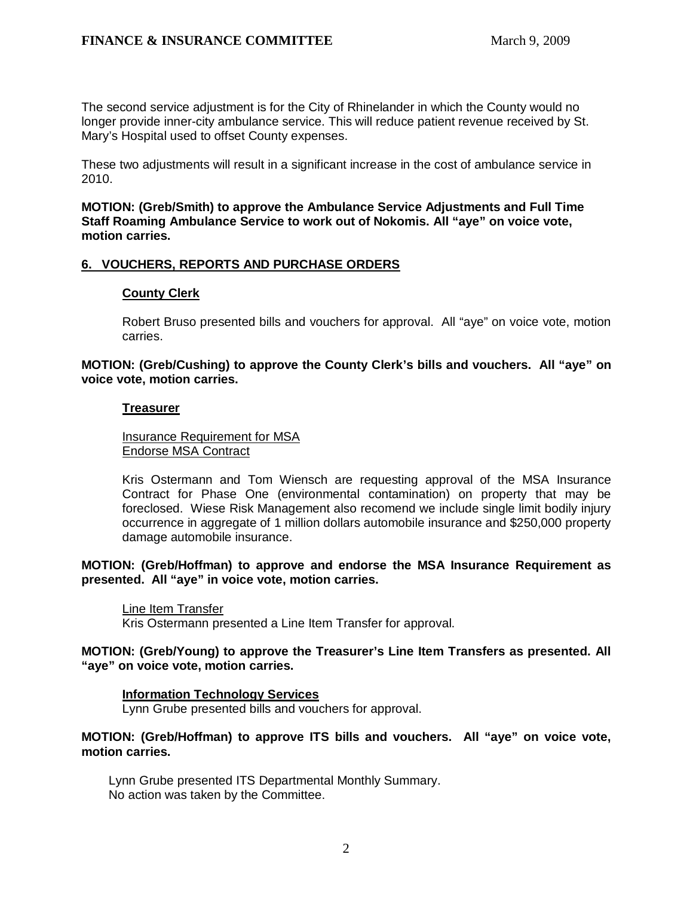The second service adjustment is for the City of Rhinelander in which the County would no longer provide inner-city ambulance service. This will reduce patient revenue received by St. Mary's Hospital used to offset County expenses.

These two adjustments will result in a significant increase in the cost of ambulance service in 2010.

 **MOTION: (Greb/Smith) to approve the Ambulance Service Adjustments and Full Time Staff Roaming Ambulance Service to work out of Nokomis. All "aye" on voice vote, motion carries.** 

### **6. VOUCHERS, REPORTS AND PURCHASE ORDERS**

### **County Clerk**

Robert Bruso presented bills and vouchers for approval. All "aye" on voice vote, motion carries.

**MOTION: (Greb/Cushing) to approve the County Clerk's bills and vouchers. All "aye" on voice vote, motion carries.** 

### **Treasurer**

 Insurance Requirement for MSA Endorse MSA Contract

Kris Ostermann and Tom Wiensch are requesting approval of the MSA Insurance Contract for Phase One (environmental contamination) on property that may be foreclosed. Wiese Risk Management also recomend we include single limit bodily injury occurrence in aggregate of 1 million dollars automobile insurance and \$250,000 property damage automobile insurance.

**MOTION: (Greb/Hoffman) to approve and endorse the MSA Insurance Requirement as presented. All "aye" in voice vote, motion carries.** 

Line Item Transfer

Kris Ostermann presented a Line Item Transfer for approval.

**MOTION: (Greb/Young) to approve the Treasurer's Line Item Transfers as presented. All "aye" on voice vote, motion carries.**

### **Information Technology Services**

Lynn Grube presented bills and vouchers for approval.

**MOTION: (Greb/Hoffman) to approve ITS bills and vouchers. All "aye" on voice vote, motion carries.** 

 Lynn Grube presented ITS Departmental Monthly Summary. No action was taken by the Committee.